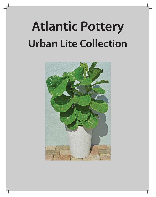# **Urban Lite Collection Atlantic Pottery**

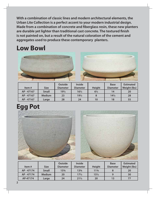**With a combination of classic lines and modern architectural elements, the Urban Lite Collection is a perfect accent to your modern industrial design. Made from a combination of concrete and fiberglass resin, these new planters are durable yet lighter than traditional cast concrete. The textured finish is not painted on, but a result of the natural coloration of the cement and aggregates used to produce these contemporary planters.**

#### **Low Bowl**





| Item#    | <b>Size</b>   | <b>Outside</b><br><b>Diameter</b> | <b>Inside</b><br><b>Diameter</b> | <b>Height</b>  | <b>Base</b><br><b>Diameter</b> | <b>Estimated</b><br>Weight (lbs) |
|----------|---------------|-----------------------------------|----------------------------------|----------------|--------------------------------|----------------------------------|
| AP-47167 | <b>Small</b>  | 19 <sub>2</sub>                   | $16\frac{1}{2}$                  | $6\frac{1}{2}$ | 14                             | 20                               |
| AP-47167 | <b>Medium</b> | 23                                | $19\frac{1}{2}$                  |                | $14\frac{1}{2}$                | 28                               |
| AP-47167 | Large         | 28                                | 24                               | 10             | 18                             | 55                               |

#### **Egg Pot**





|          |               | <b>Outside</b>                 | <b>Inside</b>   |                 | <b>Base</b>     | <b>Estimated</b> |
|----------|---------------|--------------------------------|-----------------|-----------------|-----------------|------------------|
| Item#    | <b>Size</b>   | <b>Diameter</b>                | <b>Diameter</b> | <b>Height</b>   | <b>Diameter</b> | Weight (lbs)     |
| AP-47174 | <b>Small</b>  | 15 <sup>3</sup> / <sub>4</sub> | $13^{3}/4$      | $11^{3}/4$      |                 | 20               |
| AP-47174 | <b>Medium</b> | 20                             | $17\frac{1}{2}$ | $15\frac{1}{2}$ |                 | 30               |
| AP-47174 | Large         | 24                             | $21\frac{1}{2}$ | 20              | 13              |                  |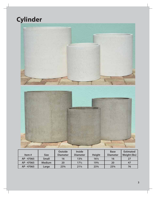## **Cylinder**



| Item#    | <b>Size</b>   | <b>Outside</b><br><b>Diameter</b> | <b>Inside</b><br><b>Diameter</b> | <b>Height</b>                  | <b>Base</b><br><b>Diameter</b> | <b>Estimated</b><br>Weight (lbs) |
|----------|---------------|-----------------------------------|----------------------------------|--------------------------------|--------------------------------|----------------------------------|
| AP-47065 | <b>Small</b>  | 16                                | $13\frac{3}{4}$                  | $16\frac{1}{4}$                | 16                             | 27                               |
| AP-47065 | <b>Medium</b> | 20                                | $17\frac{1}{2}$                  | 193/4                          | 20                             | 47                               |
| AP-47065 | Large         | 23 <sup>3</sup> / <sub>4</sub>    | $21\frac{1}{4}$                  | 23 <sup>3</sup> / <sub>4</sub> | 23 <sup>3</sup> / <sub>4</sub> | 76                               |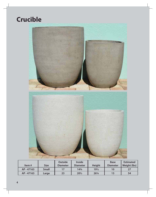#### **Crucible**



| Item#    | <b>Size</b>  | <b>Outside</b><br><b>Diameter</b> | <b>Inside</b><br><b>Diameter</b> | Height          | <b>Base</b><br><b>Diameter</b> | <b>Estimated</b><br>Weight (lbs) |
|----------|--------------|-----------------------------------|----------------------------------|-----------------|--------------------------------|----------------------------------|
| AP-47163 | <b>Small</b> | 17                                | $14\frac{3}{4}$                  | $19\frac{1}{2}$ | 10                             | 27                               |
| AP-47163 | Large        | 23                                | $20\frac{1}{2}$                  | 261/4           | 13                             | 54                               |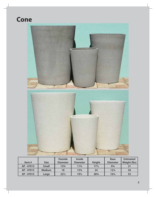#### **Cone**



|          |               | <b>Outside</b>                 | <b>Inside</b>                  |                 | <b>Base</b>     | <b>Estimated</b> |
|----------|---------------|--------------------------------|--------------------------------|-----------------|-----------------|------------------|
| Item#    | <b>Size</b>   | <b>Diameter</b>                | <b>Diameter</b>                | <b>Height</b>   | <b>Diameter</b> | Weight (lbs)     |
| AP-47015 | <b>Small</b>  | 13 <sup>3</sup> / <sub>4</sub> | 11 <sup>3</sup> / <sub>4</sub> | $17\frac{1}{2}$ | $9^{3}/4$       | 21               |
| AP-47015 | <b>Medium</b> | 18                             | $15\frac{3}{4}$                | 24              | $12\frac{1}{4}$ | 36               |
| AP-47015 | Large         | $22\frac{1}{2}$                | $19\frac{1}{2}$                | $28\frac{3}{4}$ | $16\frac{1}{4}$ | 55               |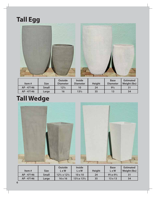## **Tall Egg**





| Item#    | <b>Size</b>  | <b>Outside</b><br><b>Diameter</b> | <b>Inside</b><br><b>Diameter</b> | <b>Height</b> | <b>Base</b><br><b>Diameter</b> | <b>Estimated</b><br>Weight (lbs) |
|----------|--------------|-----------------------------------|----------------------------------|---------------|--------------------------------|----------------------------------|
| AP-47146 | <b>Small</b> | $12\frac{1}{2}$                   | 10                               | 24            | $9\frac{1}{2}$                 | 31                               |
| AP-47146 | Large        | 16                                | $13\frac{1}{2}$                  | 35            |                                | 54                               |

## **Tall Wedge**



| Item #   | <b>Size</b>  | <b>Outside</b><br><b>LxW</b>         | <b>Inside</b><br>L x W               | <b>Height</b> | <b>Base</b><br>$L \times W$        | <b>Estimated</b><br>Weight (lbs) |
|----------|--------------|--------------------------------------|--------------------------------------|---------------|------------------------------------|----------------------------------|
|          |              |                                      |                                      |               |                                    |                                  |
| AP-47146 | <b>Small</b> | $12\frac{1}{2} \times 12\frac{1}{2}$ | $10 \times 10$                       | 24            | $9\frac{1}{2} \times 9\frac{1}{2}$ |                                  |
| AP-47146 | Large        | $16 \times 16$                       | $13\frac{1}{2} \times 13\frac{1}{2}$ | 35            | $13 \times 13$                     | 54                               |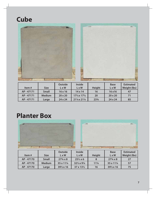### **Cube**





| Item#    | <b>Size</b>   | <b>Outside</b><br><b>LxW</b> | <b>Inside</b><br>$L \times W$        | <b>Height</b>                  | <b>Base</b><br>$L \times W$ | <b>Estimated</b><br>Weight (lbs) |
|----------|---------------|------------------------------|--------------------------------------|--------------------------------|-----------------------------|----------------------------------|
|          |               |                              |                                      |                                |                             |                                  |
| AP-47171 | <b>Small</b>  | $16 \times 16$               | $14 \times 14$                       | 16                             | 16x16                       | 47                               |
| AP-47171 | <b>Medium</b> | $20 \times 20$               | $17\frac{1}{2} \times 17\frac{1}{2}$ | 20                             | $20 \times 20$              | 71                               |
| AP-47171 | Large         | $24 \times 24$               | 211/4 x 211/4                        | 23 <sup>3</sup> / <sub>4</sub> | $24 \times 24$              | 85                               |

#### **Planter Box**





| Item#    | <b>Size</b>   | <b>Outside</b><br><b>LxW</b>        | <b>Inside</b><br>$L \times W$       | <b>Height</b>   | <b>Base</b><br>$L \times W$ | <b>Estimated</b><br>Weight (lbs) |
|----------|---------------|-------------------------------------|-------------------------------------|-----------------|-----------------------------|----------------------------------|
| AP-47170 | <b>Small</b>  | $27\frac{3}{4} \times 8$            | $25\frac{1}{2} \times 6$            |                 | $27\frac{3}{4} \times 8$    | 27                               |
| AP-47170 | <b>Medium</b> | 35 x 11 <sup>1</sup> / <sub>4</sub> | $32\frac{1}{2} \times 9\frac{1}{4}$ | $11\frac{1}{4}$ | $35 \times 11\frac{1}{4}$   | 57                               |
| AP-47170 | Large         | $39\frac{1}{2}x16$                  | $37 \times 13\frac{1}{2}$           | 16              | 391/2 x 16                  | 75                               |